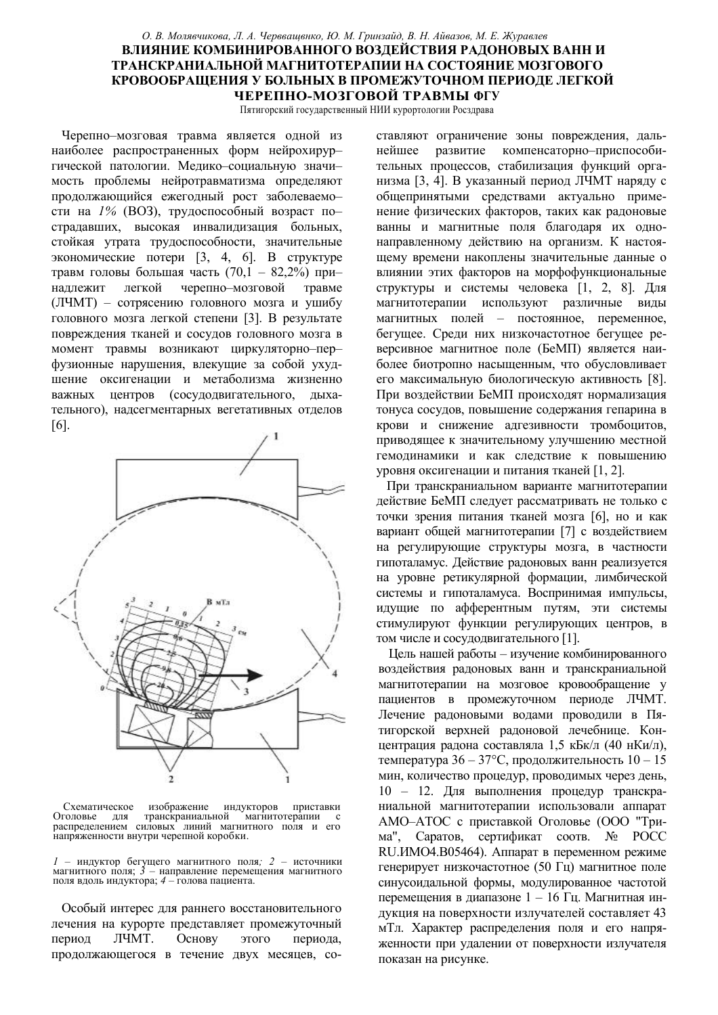## О. В. Молявчикова, Л. А. Черввашвнко, Ю. М. Гринзайд, В. Н. Айвазов, М. Е. Журавлев ВЛИЯНИЕ КОМБИНИРОВАННОГО ВОЗДЕЙСТВИЯ РАДОНОВЫХ ВАНН И ТРАНСКРАНИАЛЬНОЙ МАГНИТОТЕРАПИИ НА СОСТОЯНИЕ МОЗГОВОГО КРОВООБРАЩЕНИЯ У БОЛЬНЫХ В ПРОМЕЖУТОЧНОМ ПЕРИОДЕ ЛЕГКОЙ ЧЕРЕПНО-МОЗГОВОЙ ТРАВМЫ ФГУ

Пятигорский государственный НИИ курортологии Росздрава

Черепно-мозговая травма является одной из наиболее распространенных форм нейрохирургической патологии. Медико-социальную значимость проблемы нейротравматизма определяют продолжающийся ежегодный рост заболеваемости на 1% (ВОЗ), трудоспособный возраст пострадавших, высокая инвалидизация больных, стойкая утрата трудоспособности, значительные экономические потери [3, 4, 6]. В структуре травм головы большая часть (70,1 - 82,2%) прилегкой черепно-мозговой наллежит травме (ЛЧМТ) - сотрясению головного мозга и ушибу головного мозга легкой степени [3]. В результате повреждения тканей и сосудов головного мозга в момент травмы возникают циркуляторно-перфузионные нарушения, влекушие за собой ухудшение оксигенации и метаболизма жизненно важных центров (сосудодвигательного, дыхательного), надсегментарных вегетативных отделов  $[6]$ .



Схематическое изображение индукторов приставки Оголовье транскраниальной иагнитотерапии  $\Pi\Pi$ **g** распределением силовых линий магнитного поля и его напряженности внутри черепной коробки.

 $1$  – индуктор бегущего магнитного поля; 2 – источники магнитного поля;  $\hat{3}$  – направление перемещения магнитного поля вдоль индуктора;  $4$  – голова пациента.

Особый интерес для раннего восстановительного лечения на курорте представляет промежуточный период ЛЧМТ. Основу этого периода. продолжающегося в течение двух месяцев, составляют ограничение зоны повреждения, дальнейшее развитие компенсаторно-приспособительных процессов, стабилизация функций организма [3, 4]. В указанный период ЛЧМТ наряду с общепринятыми средствами актуально применение физических факторов, таких как радоновые ванны и магнитные поля благодаря их однонаправленному действию на организм. К настоящему времени накоплены значительные данные о влиянии этих факторов на морфофункциональные структуры и системы человека [1, 2, 8]. Для магнитотерапии используют различные виды магнитных полей - постоянное, переменное, бегущее. Среди них низкочастотное бегущее реверсивное магнитное поле (БеМП) является наиболее биотропно насышенным, что обусловливает его максимальную биологическую активность [8]. При воздействии БеМП происходят нормализация тонуса сосудов, повышение содержания гепарина в крови и снижение адгезивности тромбоцитов, приводящее к значительному улучшению местной гемодинамики и как следствие к повышению уровня оксигенации и питания тканей [1, 2].

При транскраниальном варианте магнитотерапии действие БеМП следует рассматривать не только с точки зрения питания тканей мозга [6], но и как вариант общей магнитотерапии [7] с воздействием на регулирующие структуры мозга, в частности гипоталамус. Действие радоновых ванн реализуется на уровне ретикулярной формации, лимбической системы и гипоталамуса. Воспринимая импульсы, идущие по афферентным путям, эти системы стимулируют функции регулирующих центров, в том числе и сосудодвигательного [1].

Цель нашей работы - изучение комбинированного воздействия радоновых ванн и транскраниальной магнитотерапии на мозговое кровообращение у пациентов в промежуточном периоде ЛЧМТ. Лечение радоновыми водами проводили в Пятигорской верхней радоновой лечебнице. Концентрация радона составляла 1,5 кБк/л (40 нКи/л), температура  $36 - 37$ °С, продолжительность  $10 - 15$ мин, количество процедур, проводимых через день, 10 - 12. Для выполнения процедур транскраниальной магнитотерапии использовали аппарат АМО-АТОС с приставкой Оголовье (ООО "Трима", Саратов, сертификат соотв. № РОСС RU. ИМО4. В05464). Аппарат в переменном режиме генерирует низкочастотное (50 Гц) магнитное поле синусоидальной формы, модулированное частотой перемещения в диапазоне 1 - 16 Гц. Магнитная индукция на поверхности излучателей составляет 43 мТл. Характер распределения поля и его напряженности при удалении от поверхности излучателя показан на рисунке.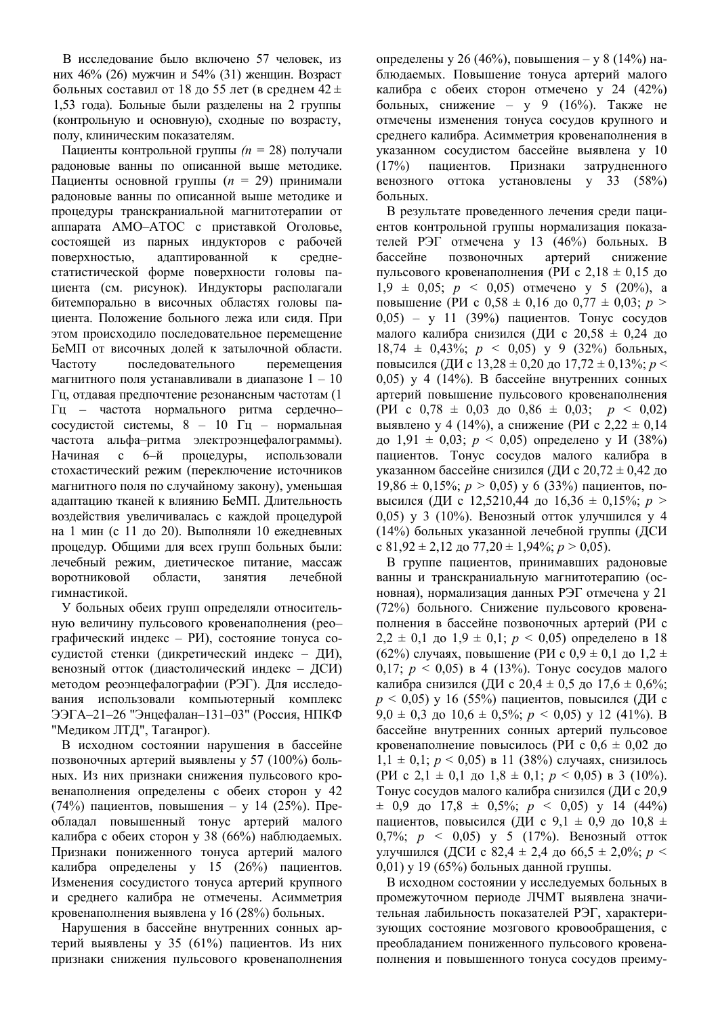В исследование было включено 57 человек, из них 46% (26) мужчин и 54% (31) женщин. Возраст больных составил от 18 до 55 лет (в среднем 42 $\pm$ 1,53 года). Больные были разделены на 2 группы (контрольную и основную), сходные по возрасту, полу, клиническим показателям.

Пациенты контрольной группы  $(n = 28)$  получали радоновые ванны по описанной выше методике. Пациенты основной группы  $(n = 29)$  принимали ралоновые ванны по описанной выше метолике и процедуры транскраниальной магнитотерапии от аппарата АМО-АТОС с приставкой Оголовье, состоящей из парных индукторов с рабочей поверхностью, адаптированной к среднестатистической форме поверхности головы пациента (см. рисунок). Индукторы располагали битемпорально в височных областях головы пациента. Положение больного лежа или сидя. При этом происходило последовательное перемещение БеМП от височных долей к затылочной области. Частоту последовательного перемешения магнитного поля устанавливали в диапазоне  $1 - 10$  $\Gamma$ ц, отдавая предпочтение резонансным частотам (1 Гц - частота нормального ритма сердечнососудистой системы, 8 - 10 Гц - нормальная частота альфа-ритма электроэнцефалограммы). Начиная с 6-й процедуры, использовали стохастический режим (переключение источников магнитного поля по случайному закону), уменьшая адаптацию тканей к влиянию БеМП. Длительность воздействия увеличивалась с каждой процедурой на 1 мин (с 11 до 20). Выполняли 10 ежедневных процедур. Общими для всех групп больных были: лечебный режим, диетическое питание, массаж воротниковой области. занятия лечебной гимнастикой

У больных обеих групп определяли относительную величину пульсового кровенаполнения (реографический индекс - РИ), состояние тонуса сосудистой стенки (дикретический индекс - ДИ), венозный отток (диастолический индекс - ДСИ) методом реоэнцефалографии (РЭГ). Для исследования использовали компьютерный комплекс ЭЭГА-21-26 "Энцефалан-131-03" (Россия, НПКФ "Медиком ЛТД", Таганрог).

В исходном состоянии нарушения в бассейне позвоночных артерий выявлены у 57 (100%) больных. Из них признаки снижения пульсового кровенаполнения определены с обеих сторон у 42 (74%) пациентов, повышения – у 14 (25%). Преобладал повышенный тонус артерий малого калибра с обеих сторон у 38 (66%) наблюдаемых. Признаки пониженного тонуса артерий малого калибра определены у 15 (26%) пациентов. Изменения сосудистого тонуса артерий крупного и среднего калибра не отмечены. Асимметрия кровенаполнения выявлена у 16 (28%) больных.

Нарушения в бассейне внутренних сонных артерий выявлены у 35 (61%) пациентов. Из них признаки снижения пульсового кровенаполнения

определены у 26 (46%), повышения – у 8 (14%) наблюдаемых. Повышение тонуса артерий малого калибра с обеих сторон отмечено у 24 (42%) больных, снижение – у 9  $(16%)$ . Также не отмечены изменения тонуса сосудов крупного и среднего калибра. Асимметрия кровенаполнения в указанном сосудистом бассейне выявлена у 10  $(17%)$  пациентов. Признаки затрудненного венозного оттока установлены у 33 (58%) больных.

В результате проведенного лечения среди пациентов контрольной группы нормализация показателей РЭГ отмечена у 13 (46%) больных. В бассейне позвоночных артерий снижение пульсового кровенаполнения (РИ с 2,18  $\pm$  0,15 до  $1.9 \pm 0.05$ ;  $p \le 0.05$ ) отмечено у 5 (20%), a повышение (РИ с 0,58  $\pm$  0,16 до 0,77  $\pm$  0,03; *p* >  $(0.05) - y$  11 (39%) пациентов. Тонус сосудов малого калибра снизился (ДИ с 20,58  $\pm$  0,24 до 18,74  $\pm$  0,43%;  $p \le 0.05$ ) y 9 (32%) больных, повысился (ДИ с  $13,28 \pm 0,20$  до  $17,72 \pm 0,13\%$ ;  $p \le$ 0,05) у 4 (14%). В бассейне внутренних сонных артерий повышение пульсового кровенаполнения (PH c  $0.78 \pm 0.03$  go  $0.86 \pm 0.03$ ;  $p < 0.02$ ) выявлено у 4 (14%), а снижение (РИ с 2,22  $\pm$  0,14 до 1,91  $\pm$  0,03;  $p < 0,05$ ) определено у И (38%) пациентов. Тонус сосудов малого калибра в указанном бассейне снизился (ДИ с 20,72  $\pm$  0,42 до 19,86  $\pm$  0,15%;  $p > 0.05$ ) y 6 (33%) пациентов, повысился (ДИ с 12,5210,44 до 16,36  $\pm$  0,15%; *p* > 0,05) у 3 (10%). Венозный отток улучшился у 4 (14%) больных указанной лечебной группы (ДСИ  $\text{c } 81,92 \pm 2,12 \text{ go } 77,20 \pm 1,94\%$ ;  $p > 0,05$ ).

В группе пациентов, принимавших радоновые ванны и транскраниальную магнитотерапию (основная), нормализация данных РЭГ отмечена у 21 (72%) больного. Снижение пульсового кровенаполнения в бассейне позвоночных артерий (РИ с  $2,2 \pm 0,1$  до  $1,9 \pm 0,1$ ;  $p < 0,05$ ) определено в 18 (62%) случаях, повышение (РИ с 0,9  $\pm$  0,1 до 1,2  $\pm$ ) 0.17;  $p \le 0.05$ ) в 4 (13%). Тонус сосудов малого калибра снизился (ДИ с 20,4  $\pm$  0,5 до 17,6  $\pm$  0,6%;  $p \le 0.05$ ) у 16 (55%) пациентов, повысился (ДИ с 9,0  $\pm$  0,3 go 10,6  $\pm$  0,5%;  $p$  < 0,05) y 12 (41%). B бассейне внутренних сонных артерий пульсовое кровенаполнение повысилось (РИ с  $0.6 \pm 0.02$  до  $1,1 \pm 0,1$ ;  $p < 0,05$ ) в 11 (38%) случаях, снизилось (PH c 2,1  $\pm$  0,1 go 1,8  $\pm$  0,1;  $p$  < 0,05) в 3 (10%). Тонус сосудов малого калибра снизился (ДИ с 20,9  $\pm$  0,9  $\mu$  0 17,8  $\pm$  0,5%;  $p \le 0,05$  y 14 (44%) пациентов, повысился (ДИ с 9,1  $\pm$  0,9 до 10,8  $\pm$ 0,7%;  $p \le 0.05$ ) у 5 (17%). Венозный отток VЛУЧШИЛСЯ (ДСИ с 82.4  $\pm$  2.4 по 66.5  $\pm$  2.0%; *p* <  $(0.01)$  у 19 (65%) больных данной группы.

В исходном состоянии у исследуемых больных в промежуточном периоде ЛЧМТ выявлена значительная лабильность показателей РЭГ, характеризующих состояние мозгового кровообращения, с преобладанием пониженного пульсового кровенаполнения и повышенного тонуса сосудов преиму